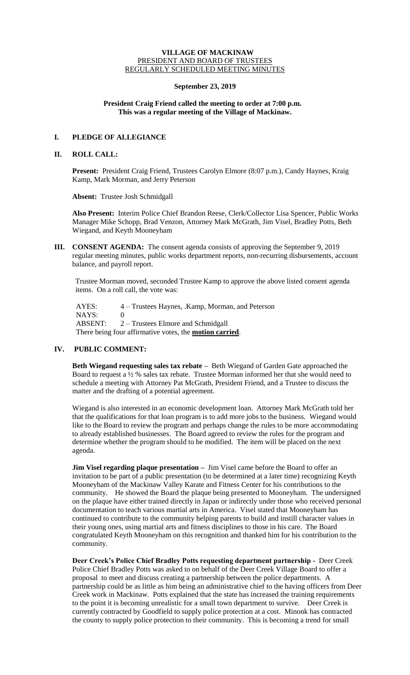#### **VILLAGE OF MACKINAW** PRESIDENT AND BOARD OF TRUSTEES REGULARLY SCHEDULED MEETING MINUTES

#### **September 23, 2019**

## **President Craig Friend called the meeting to order at 7:00 p.m. This was a regular meeting of the Village of Mackinaw.**

## **I. PLEDGE OF ALLEGIANCE**

### **II. ROLL CALL:**

**Present:** President Craig Friend, Trustees Carolyn Elmore (8:07 p.m.), Candy Haynes, Kraig Kamp, Mark Morman, and Jerry Peterson

**Absent:** Trustee Josh Schmidgall

**Also Present:** Interim Police Chief Brandon Reese, Clerk/Collector Lisa Spencer, Public Works Manager Mike Schopp, Brad Venzon, Attorney Mark McGrath, Jim Visel, Bradley Potts, Beth Wiegand, and Keyth Mooneyham

**III. CONSENT AGENDA:** The consent agenda consists of approving the September 9, 2019 regular meeting minutes, public works department reports, non-recurring disbursements, account balance, and payroll report.

Trustee Morman moved, seconded Trustee Kamp to approve the above listed consent agenda items. On a roll call, the vote was:

 AYES: 4 – Trustees Haynes, .Kamp, Morman, and Peterson NAYS: 0 ABSENT: 2 – Trustees Elmore and Schmidgall There being four affirmative votes, the **motion carried**.

# **IV. PUBLIC COMMENT:**

**Beth Wiegand requesting sales tax rebate –** Beth Wiegand of Garden Gate approached the Board to request a ½ % sales tax rebate. Trustee Morman informed her that she would need to schedule a meeting with Attorney Pat McGrath, President Friend, and a Trustee to discuss the matter and the drafting of a potential agreement.

Wiegand is also interested in an economic development loan. Attorney Mark McGrath told her that the qualifications for that loan program is to add more jobs to the business. Wiegand would like to the Board to review the program and perhaps change the rules to be more accommodating to already established businesses. The Board agreed to review the rules for the program and determine whether the program should to be modified. The item will be placed on the next agenda.

**Jim Visel regarding plaque presentation –** Jim Visel came before the Board to offer an invitation to be part of a public presentation (to be determined at a later time) recognizing Keyth Mooneyham of the Mackinaw Valley Karate and Fitness Center for his contributions to the community. He showed the Board the plaque being presented to Mooneyham. The undersigned on the plaque have either trained directly in Japan or indirectly under those who received personal documentation to teach various martial arts in America. Visel stated that Mooneyham has continued to contribute to the community helping parents to build and instill character values in their young ones, using martial arts and fitness disciplines to those in his care. The Board congratulated Keyth Mooneyham on this recognition and thanked him for his contribution to the community.

**Deer Creek's Police Chief Bradley Potts requesting department partnership -** Deer Creek Police Chief Bradley Potts was asked to on behalf of the Deer Creek Village Board to offer a proposal to meet and discuss creating a partnership between the police departments. A partnership could be as little as him being an administrative chief to the having officers from Deer Creek work in Mackinaw. Potts explained that the state has increased the training requirements to the point it is becoming unrealistic for a small town department to survive. Deer Creek is currently contracted by Goodfield to supply police protection at a cost. Minonk has contracted the county to supply police protection to their community. This is becoming a trend for small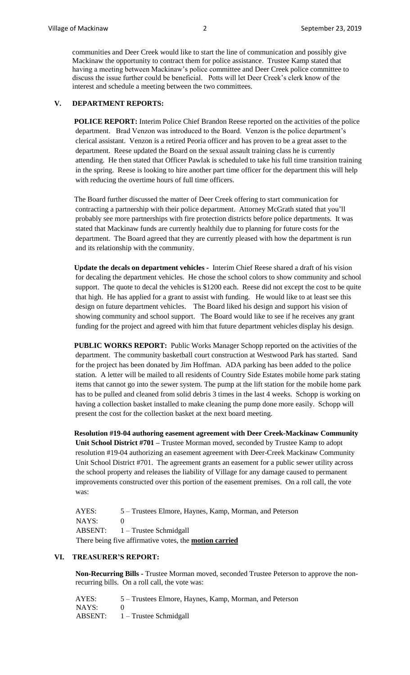communities and Deer Creek would like to start the line of communication and possibly give Mackinaw the opportunity to contract them for police assistance. Trustee Kamp stated that having a meeting between Mackinaw's police committee and Deer Creek police committee to discuss the issue further could be beneficial. Potts will let Deer Creek's clerk know of the interest and schedule a meeting between the two committees.

## **V. DEPARTMENT REPORTS:**

**POLICE REPORT:** Interim Police Chief Brandon Reese reported on the activities of the police department. Brad Venzon was introduced to the Board. Venzon is the police department's clerical assistant. Venzon is a retired Peoria officer and has proven to be a great asset to the department. Reese updated the Board on the sexual assault training class he is currently attending. He then stated that Officer Pawlak is scheduled to take his full time transition training in the spring. Reese is looking to hire another part time officer for the department this will help with reducing the overtime hours of full time officers.

The Board further discussed the matter of Deer Creek offering to start communication for contracting a partnership with their police department. Attorney McGrath stated that you'll probably see more partnerships with fire protection districts before police departments. It was stated that Mackinaw funds are currently healthily due to planning for future costs for the department. The Board agreed that they are currently pleased with how the department is run and its relationship with the community.

**Update the decals on department vehicles -** Interim Chief Reese shared a draft of his vision for decaling the department vehicles. He chose the school colors to show community and school support. The quote to decal the vehicles is \$1200 each. Reese did not except the cost to be quite that high. He has applied for a grant to assist with funding. He would like to at least see this design on future department vehicles. The Board liked his design and support his vision of showing community and school support. The Board would like to see if he receives any grant funding for the project and agreed with him that future department vehicles display his design.

**PUBLIC WORKS REPORT:** Public Works Manager Schopp reported on the activities of the department. The community basketball court construction at Westwood Park has started. Sand for the project has been donated by Jim Hoffman. ADA parking has been added to the police station. A letter will be mailed to all residents of Country Side Estates mobile home park stating items that cannot go into the sewer system. The pump at the lift station for the mobile home park has to be pulled and cleaned from solid debris 3 times in the last 4 weeks. Schopp is working on having a collection basket installed to make cleaning the pump done more easily. Schopp will present the cost for the collection basket at the next board meeting.

**Resolution #19-04 authoring easement agreement with Deer Creek-Mackinaw Community Unit School District #701 –** Trustee Morman moved, seconded by Trustee Kamp to adopt resolution #19-04 authorizing an easement agreement with Deer-Creek Mackinaw Community Unit School District #701. The agreement grants an easement for a public sewer utility across the school property and releases the liability of Village for any damage caused to permanent improvements constructed over this portion of the easement premises. On a roll call, the vote was:

AYES: 5 – Trustees Elmore, Haynes, Kamp, Morman, and Peterson NAYS: 0 ABSENT: 1 – Trustee Schmidgall There being five affirmative votes, the **motion carried**

## **VI. TREASURER'S REPORT:**

**Non-Recurring Bills -** Trustee Morman moved, seconded Trustee Peterson to approve the nonrecurring bills. On a roll call, the vote was:

AYES: 5 – Trustees Elmore, Haynes, Kamp, Morman, and Peterson NAYS: 0 ABSENT: 1 – Trustee Schmidgall